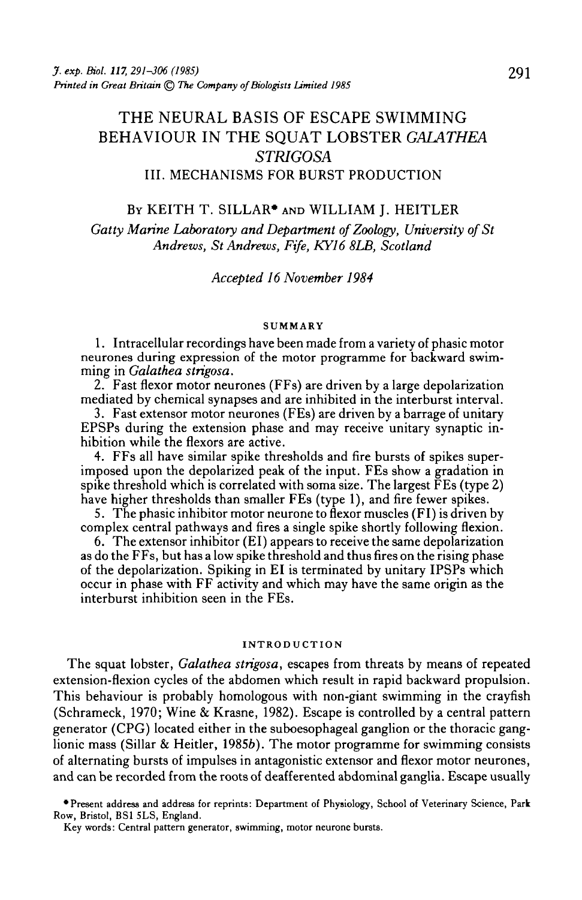# THE NEURAL BASIS OF ESCAPE SWIMMING BEHAVIOUR IN THE SQUAT LOBSTER *GALATHEA STRIGOSA* III. MECHANISMS FOR BURST PRODUCTION

# BY KEITH T. SILLAR\* AND WILLIAM J. HEITLER

Gatty Marine Laboratory and Department of Zoology, University of St *Andrews, St Andrews, Fife, KY16 8LB, Scotland*

### *Accepted 16 November 1984*

#### **SUMMARY**

1. Intracellular recordings have been made from a variety of phasic motor neurones during expression of the motor programme for backward swim- ming in *Galathea strigosa.*

2. Fast flexor motor neurones (FFs) are driven by a large depolarization mediated by chemical synapses and are inhibited in the interburst interval.

3. Fast extensor motor neurones (FEs) are driven by a barrage of unitary EPSPs during the extension phase and may receive unitary synaptic in- hibition while the flexors are active.

4. FFs all have similar spike thresholds and fire bursts of spikes super- imposed upon the depolarized peak of the input. FEs show a gradation in spike threshold which is correlated with soma size. The largest  $\overline{F}$ Es (type 2) have higher thresholds than smaller FEs (type 1), and fire fewer spikes.

5. The phasic inhibitor motor neurone to flexor muscles (FI) is driven by complex central pathways and fires a single spike shortly following flexion.

6. The extensor inhibitor (El) appears to receive the same depolarization as do the FFs, but has a low spike threshold and thus fires on the rising phase of the depolarization. Spiking in El is terminated by unitary IPSPs which occur in phase with FF activity and which may have the same origin as the interburst inhibition seen in the FEs.

#### INTRODUCTION

The squat lobster, *Galathea strigosa,* escapes from threats by means of repeated extension-flexion cycles of the abdomen which result in rapid backward propulsion. This behaviour is probably homologous with non-giant swimming in the crayfish (Schrameck, 1970; Wine & Krasne, 1982). Escape is controlled by a central pattern generator (CPG) located either in the suboesophageal ganglion or the thoracic ganglionic mass (Sillar & Heitler, 19856). The motor programme for swimming consists of alternating bursts of impulses in antagonistic extensor and flexor motor neurones, and can be recorded from the roots of deafferented abdominal ganglia. Escape usually

•Present address and address for reprints: Department of Physiology, School of Veterinary Science, Park Row, Bristol, BS1 5LS, England.

Key words: Central pattern generator, swimming, motor neurone bursts.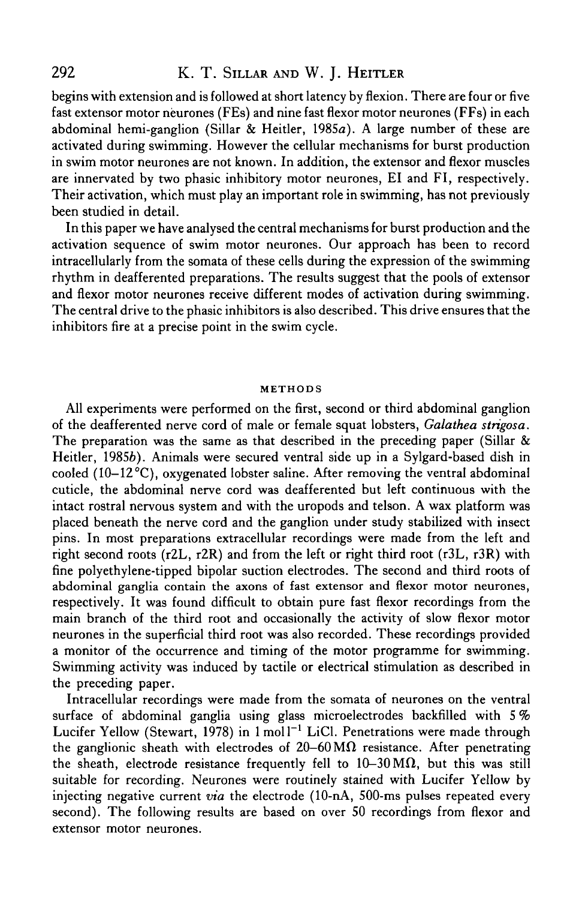# 292 K. T. SILLAR AND W. I. HEITLER

begins with extension and is followed at short latency by flexion. There are four or five fast extensor motor neurones (FEs) and nine fast flexor motor neurones (FFs) in each abdominal hemi-ganglion (Sillar & Heitler, 1985a). A large number of these are activated during swimming. However the cellular mechanisms for burst production in swim motor neurones are not known. In addition, the extensor and flexor muscles are innervated by two phasic inhibitory motor neurones, El and FI, respectively. Their activation, which must play an important role in swimming, has not previously been studied in detail.

In this paper we have analysed the central mechanisms for burst production and the activation sequence of swim motor neurones. Our approach has been to record intracellularly from the somata of these cells during the expression of the swimming rhythm in deafferented preparations. The results suggest that the pools of extensor and flexor motor neurones receive different modes of activation during swimming. The central drive to the phasic inhibitors is also described. This drive ensures that the inhibitors fire at a precise point in the swim cycle.

### **METHODS**

All experiments were performed on the first, second or third abdominal ganglion of the deafferented nerve cord of male or female squat lobsters, *Galathea strigosa.* The preparation was the same as that described in the preceding paper (Sillar  $\&$ Heitler, 19856). Animals were secured ventral side up in a Sylgard-based dish in cooled  $(10-12^{\circ}\text{C})$ , oxygenated lobster saline. After removing the ventral abdominal cuticle, the abdominal nerve cord was deafferented but left continuous with the intact rostral nervous system and with the uropods and telson. A wax platform was placed beneath the nerve cord and the ganglion under study stabilized with insect pins. In most preparations extracellular recordings were made from the left and right second roots (r2L, r2R) and from the left or right third root (r3L, r3R) with fine polyethylene-tipped bipolar suction electrodes. The second and third roots of abdominal ganglia contain the axons of fast extensor and flexor motor neurones, respectively. It was found difficult to obtain pure fast flexor recordings from the main branch of the third root and occasionally the activity of slow flexor motor neurones in the superficial third root was also recorded. These recordings provided a monitor of the occurrence and timing of the motor programme for swimming. Swimming activity was induced by tactile or electrical stimulation as described in the preceding paper.

Intracellular recordings were made from the somata of neurones on the ventral surface of abdominal ganglia using glass microelectrodes backfilled with 5 % Lucifer Yellow (Stewart, 1978) in  $1 \text{ mol } 1^{-1}$  LiCl. Penetrations were made through the ganglionic sheath with electrodes of  $20-60 \text{ M}\Omega$  resistance. After penetrating the sheath, electrode resistance frequently fell to  $10-30 \text{ M}\Omega$ , but this was still suitable for recording. Neurones were routinely stained with Lucifer Yellow by injecting negative current *via* the electrode (10-nA, 500-ms pulses repeated every second). The following results are based on over 50 recordings from flexor and extensor motor neurones.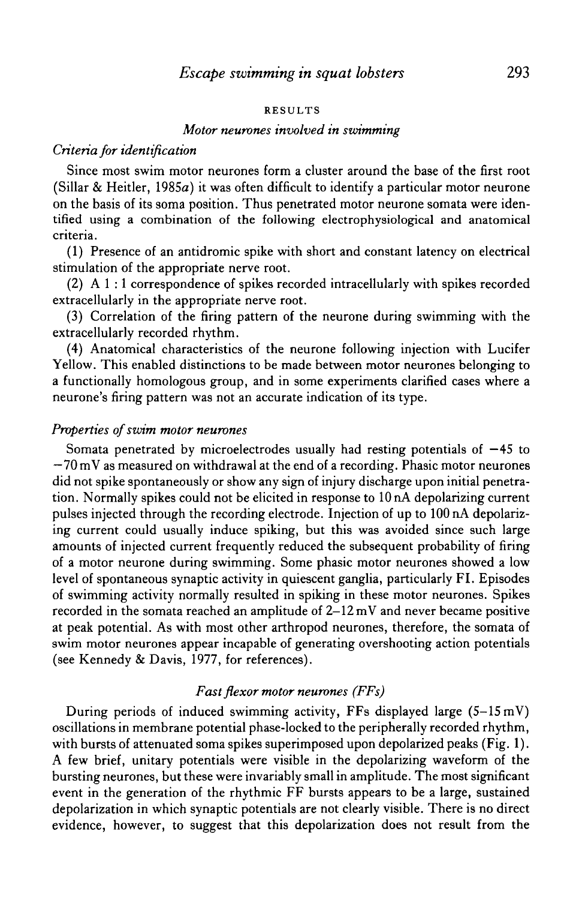#### RESULTS

### *Motor neurones involved in swimming*

# *Criteria for identification*

Since most swim motor neurones form a cluster around the base of the first root (Sillar & Heitler, 1985a) it was often difficult to identify a particular motor neurone on the basis of its soma position. Thus penetrated motor neurone somata were identified using a combination of the following electrophysiological and anatomical criteria.

(1) Presence of an antidromic spike with short and constant latency on electrical stimulation of the appropriate nerve root.

(2) A 1 :1 correspondence of spikes recorded intracellularly with spikes recorded extracellularly in the appropriate nerve root.

(3) Correlation of the firing pattern of the neurone during swimming with the extracellularly recorded rhythm.

(4) Anatomical characteristics of the neurone following injection with Lucifer Yellow. This enabled distinctions to be made between motor neurones belonging to a functionally homologous group, and in some experiments clarified cases where a neurone's firing pattern was not an accurate indication of its type.

### *Properties of swim motor neurones*

Somata penetrated by microelectrodes usually had resting potentials of  $-45$  to —70 mV as measured on withdrawal at the end of a recording. Phasic motor neurones did not spike spontaneously or show any sign of injury discharge upon initial penetration. Normally spikes could not be elicited in response to 10 nA depolarizing current pulses injected through the recording electrode. Injection of up to 100 nA depolarizing current could usually induce spiking, but this was avoided since such large amounts of injected current frequently reduced the subsequent probability of firing of a motor neurone during swimming. Some phasic motor neurones showed a low level of spontaneous synaptic activity in quiescent ganglia, particularly FI. Episodes of swimming activity normally resulted in spiking in these motor neurones. Spikes recorded in the somata reached an amplitude of  $2-12$  mV and never became positive at peak potential. As with most other arthropod neurones, therefore, the somata of swim motor neurones appear incapable of generating overshooting action potentials (see Kennedy & Davis, 1977, for references).

# *Fast flexor motor neurones (FFs)*

During periods of induced swimming activity, FFs displayed large  $(5-15 \text{ mV})$ oscillations in membrane potential phase-locked to the peripherally recorded rhythm, with bursts of attenuated soma spikes superimposed upon depolarized peaks (Fig. 1). A few brief, unitary potentials were visible in the depolarizing waveform of the bursting neurones, but these were invariably small in amplitude. The most significant event in the generation of the rhythmic FF bursts appears to be a large, sustained depolarization in which synaptic potentials are not clearly visible. There is no direct evidence, however, to suggest that this depolarization does not result from the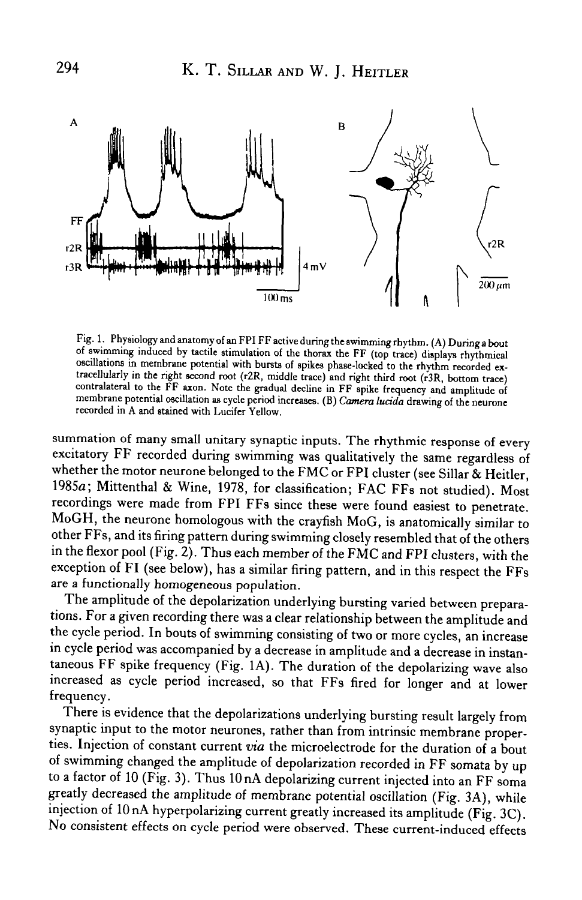

Fig. 1. Physiology and anatomy of an FPIFF active during the swimming rhythm. (A) During a bout of swimming induced by tactile stimulation of the thorax the FF (top trace) displays rhythmical oscillations in membrane potential with bursts of spikes phase-locked to the rhythm recorded extracellularly in the right second root (r2R, middle trace) and right third root (r3R, bottom trace) contralateral to the FF axon. Note the gradual decline in FF spike frequency and amplitude of membrane potential oscillation as cycle period increases. (B) Camera lucida drawing of the neurone recorded in A and stained with Lucifer Yellow.

summation of many small unitary synaptic inputs. The rhythmic response of every excitatory FF recorded during swimming was qualitatively the same regardless of whether the motor neurone belonged to the FMC or FPI cluster (see Sillar & Heitler, 1985a; Mittenthal & Wine, 1978, for classification; FAC FFs not studied). Most recordings were made from FPI FFs since these were found easiest to penetrate. MoGH, the neurone homologous with the crayfish MoG, is anatomically similar to other FFs, and its firing pattern during swimming closely resembled that of the others in the flexor pool (Fig. 2). Thus each member of the FMC and FPI clusters, with the exception of FI (see below), has a similar firing pattern, and in this respect the FFs are a functionally homogeneous population.

The amplitude of the depolarization underlying bursting varied between preparations. For a given recording there was a clear relationship between the amplitude and the cycle period. In bouts of swimming consisting of two or more cycles, an increase in cycle period was accompanied by a decrease in amplitude and a decrease in instantaneous FF spike frequency (Fig. 1A). The duration of the depolarizing wave also increased as cycle period increased, so that FFs fired for longer and at lower frequency.

There is evidence that the depolarizations underlying bursting result largely from synaptic input to the motor neurones, rather than from intrinsic membrane properties. Injection of constant current *via* the microelectrode for the duration of a bout of swimming changed the amplitude of depolarization recorded in FF somata by up to a factor of 10 (Fig. 3). Thus 10nA depolarizing current injected into an FF soma greatly decreased the amplitude of membrane potential oscillation (Fig. 3A), while injection of 10 nA hyperpolarizing current greatly increased its amplitude (Fig. 3C). No consistent effects on cycle period were observed. These current-induced effects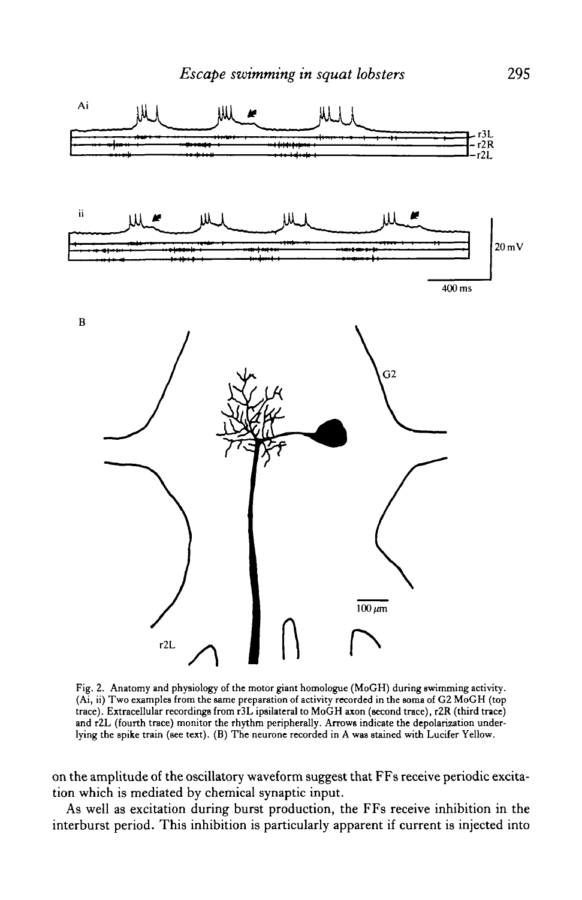

Fig. 2. Anatomy and physiology of the motor giant homologue (MoGH) during swimming activity. (Ai, ii) Two examples from the same preparation of activity recorded in the soma of G2 MoGH (top trace). Extracellular recordings from r3L ipsilateral to MoGH axon (second trace), r2R (third trace) and r2L (fourth trace) monitor the rhythm peripherally. Arrows indicate the depolarization underlying the spike train (see text). (B) The neurone recorded in A was stained with Lucifer Yellow.

on the amplitude of the oscillatory waveform suggest that FFs receive periodic excitation which is mediated by chemical synaptic input.

As well as excitation during burst production, the FFs receive inhibition in the interburst period. This inhibition is particularly apparent if current is injected into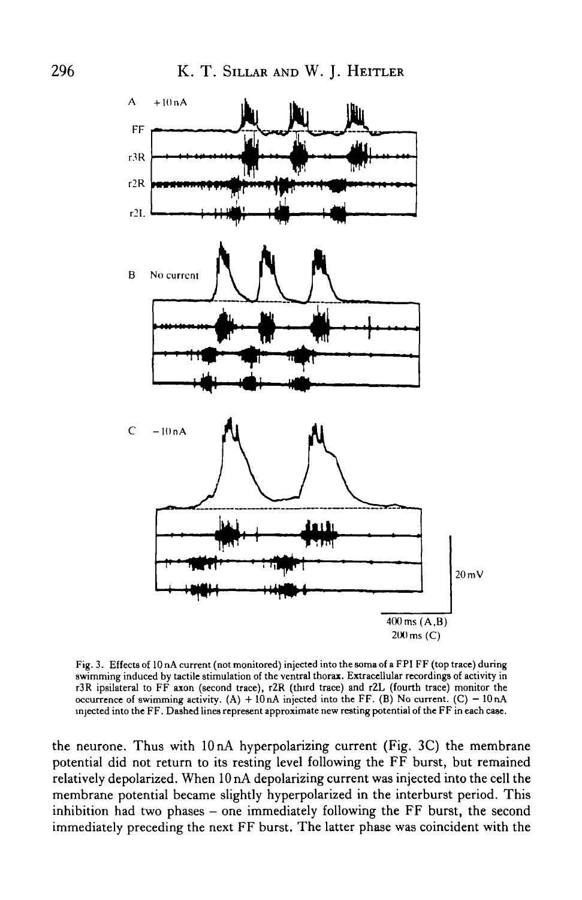

Fig. 3. Effects of 10 nA current (not monitored) injected into the soma of a FPI FF (top trace) during swimming induced by tactile stimulation of the ventral thorax. Extracellular recordings of activity in r3R ipsilateral to FF axon (second trace), r2R (third trace) and rZL (fourth trace) monitor the occurrence of swimming activity.  $(A) + 10 nA$  injected into the FF. (B) No current.  $(C) - 10 nA$ injected into the FF. Dashed lines represent approximate new resting potential of the FF in each case.

the neurone. Thus with 10 nA hyperpolarizing current (Fig. 3C) the membrane potential did not return to its resting level following the FF burst, but remained relatively depolarized. When 10 nA depolarizing current was injected into the cell the membrane potential became slightly hyperpolarized in the interburst period. This inhibition had two phases – one immediately following the FF burst, the second immediately preceding the next FF burst. The latter phase was coincident with the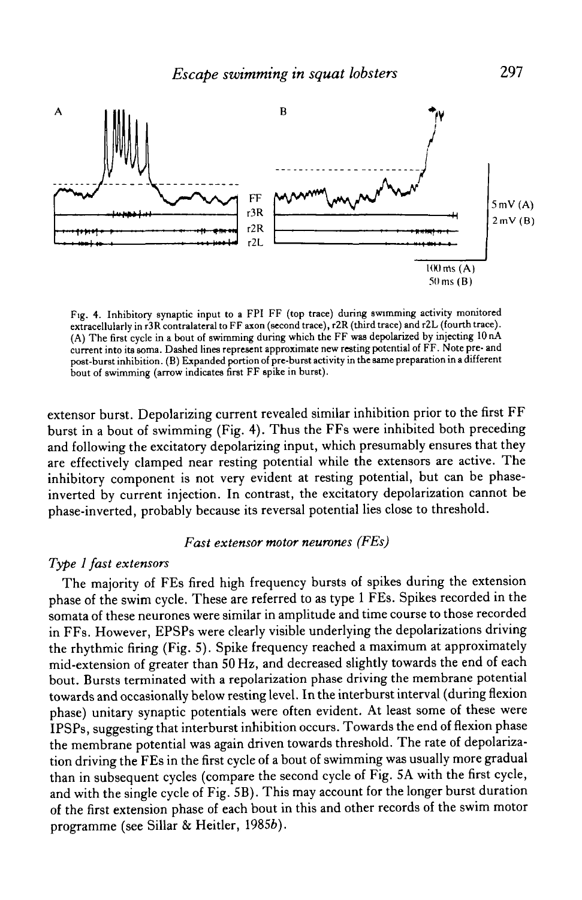

Fig. 4. Inhibitory synaptic input to a FPI FF (top trace) during swimming activity monitored extracellularly in r3 R contralateral to FF axon (second trace), r2R (third trace) and r2L (fourth trace). (A) The first cycle in a bout of swimming during which the FF was depolarized by injecting 10 nA current into its soma. Dashed lines represent approximate new resting potential of FF. Note pre- and post-burst inhibition. (B) Expanded portion of pre-burst activity in the same preparation in a different bout of swimming (arrow indicates first FF spike in burst).

extensor burst. Depolarizing current revealed similar inhibition prior to the first FF burst in a bout of swimming (Fig. 4). Thus the FFs were inhibited both preceding and following the excitatory depolarizing input, which presumably ensures that they are effectively clamped near resting potential while the extensors are active. The inhibitory component is not very evident at resting potential, but can be phaseinverted by current injection. In contrast, the excitatory depolarization cannot be phase-inverted, probably because its reversal potential lies close to threshold.

### *Fast extensor motor neurones (FEs)*

## *Type 1 fast extensors*

The majority of FEs fired high frequency bursts of spikes during the extension phase of the swim cycle. These are referred to as type 1 FEs. Spikes recorded in the somata of these neurones were similar in amplitude and time course to those recorded in FFs. However, EPSPs were clearly visible underlying the depolarizations driving the rhythmic firing (Fig. 5). Spike frequency reached a maximum at approximately mid-extension of greater than 50 Hz, and decreased slightly towards the end of each bout. Bursts terminated with a repolarization phase driving the membrane potential towards and occasionally below resting level. In the interburst interval (during flexion phase) unitary synaptic potentials were often evident. At least some of these were IPSPs, suggesting that interburst inhibition occurs. Towards the end of flexion phase the membrane potential was again driven towards threshold. The rate of depolarization driving the FEs in the first cycle of a bout of swimming was usually more gradual than in subsequent cycles (compare the second cycle of Fig. 5A with the first cycle, and with the single cycle of Fig. 5B). This may account for the longer burst duration of the first extension phase of each bout in this and other records of the swim motor programme (see Sillar & Heitler, 19856).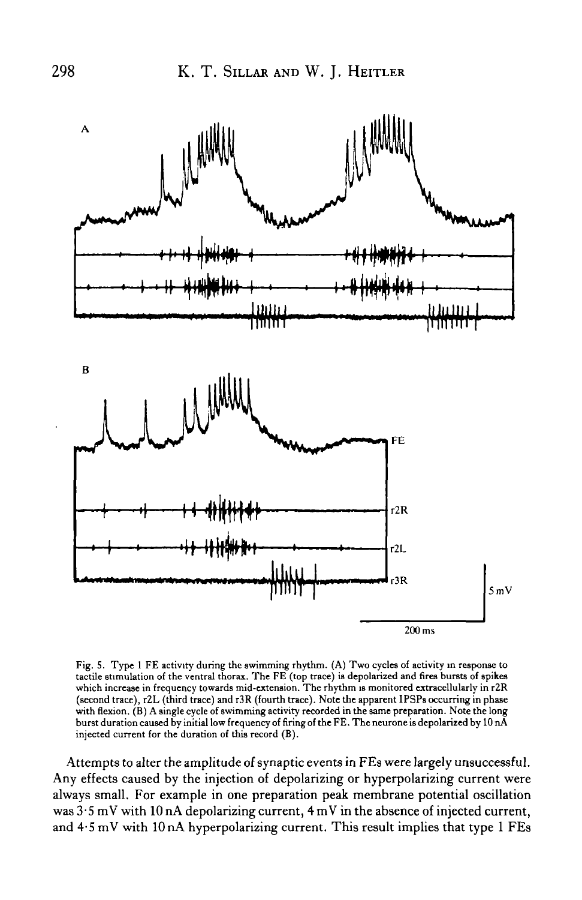

Fig. 5. Type 1 FE activity during the swimming rhythm. (A) Two cycles of activity in response to tactile stimulation of the ventral thorax. The FE (top trace) is depolarized and fires bursts of spikes which increase in frequency towards mid-extenaion. The rhythm is monitored extracellularly in r2R (second trace), r2L (third trace) and r3R (fourth trace). Note the apparent IPSPs occurring in phase with flexion. (B) A single cycle of swimming activity recorded in the same preparation. Note the long burst duration caused by initial low frequency of firing of the FE. The neurone is depolarized by 10 nA injected current for the duration of this record (B).

Attempts to alter the amplitude of synaptic events in FEs were largely unsuccessful. Any effects caused by the injection of depolarizing or hyperpolarizing current were always small. For example in one preparation peak membrane potential oscillation was  $3.5$  mV with 10 nA depolarizing current,  $4$  mV in the absence of injected current, and  $4.5 \,\mathrm{mV}$  with 10 nA hyperpolarizing current. This result implies that type 1 FEs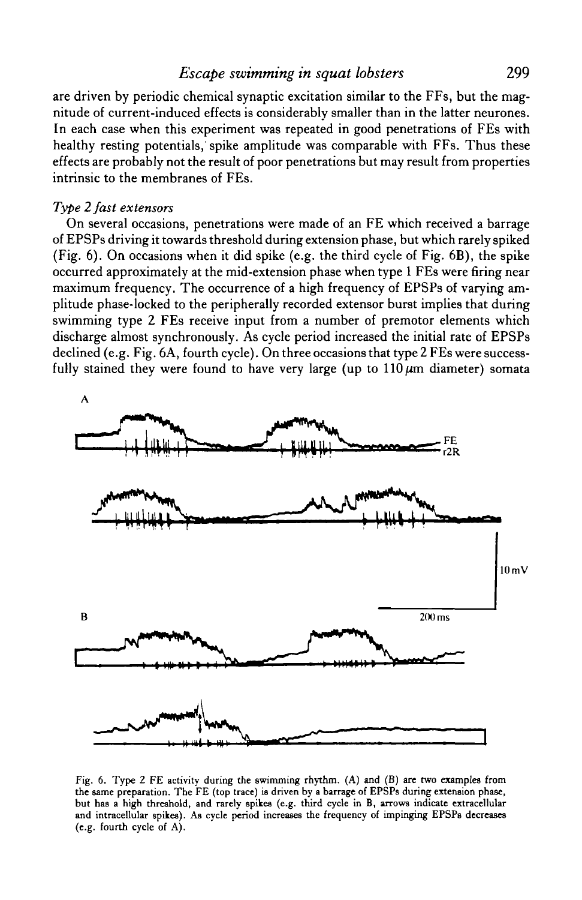# *Escape swimming in squat lobsters* 299

are driven by periodic chemical synaptic excitation similar to the FFs, but the magnitude of current-induced effects is considerably smaller than in the latter neurones. In each case when this experiment was repeated in good penetrations of FEs with healthy resting potentials, spike amplitude was comparable with FFs. Thus these effects are probably not the result of poor penetrations but may result from properties intrinsic to the membranes of FEs.

# *Type 2 fast extensors*

On several occasions, penetrations were made of an FE which received a barrage of EPSPs driving it towards threshold during extension phase, but which rarely spiked (Fig. 6). On occasions when it did spike (e.g. the third cycle of Fig. 6B), the spike occurred approximately at the mid-extension phase when type 1 FEs were firing near maximum frequency. The occurrence of a high frequency of EPSPs of varying amplitude phase-locked to the peripherally recorded extensor burst implies that during swimming type 2 FEs receive input from a number of premotor elements which discharge almost synchronously. As cycle period increased the initial rate of EPSPs declined (e.g. Fig. 6A, fourth cycle). On three occasions that type 2 FEs were successfully stained they were found to have very large (up to  $110 \mu m$  diameter) somata



Fig. 6. Type 2 FE activity during the swimming rhythm. (A) and (B) are two examples from the same preparation. The FE (top trace) is driven by a barrage of EPSPs during extension phase, but has a high threshold, and rarely spikes (e.g. third cycle in B, arrows indicate extracellular and intracellular spikes). As cycle period increases the frequency of impinging EPSPs decreases (e.g. fourth cycle of A).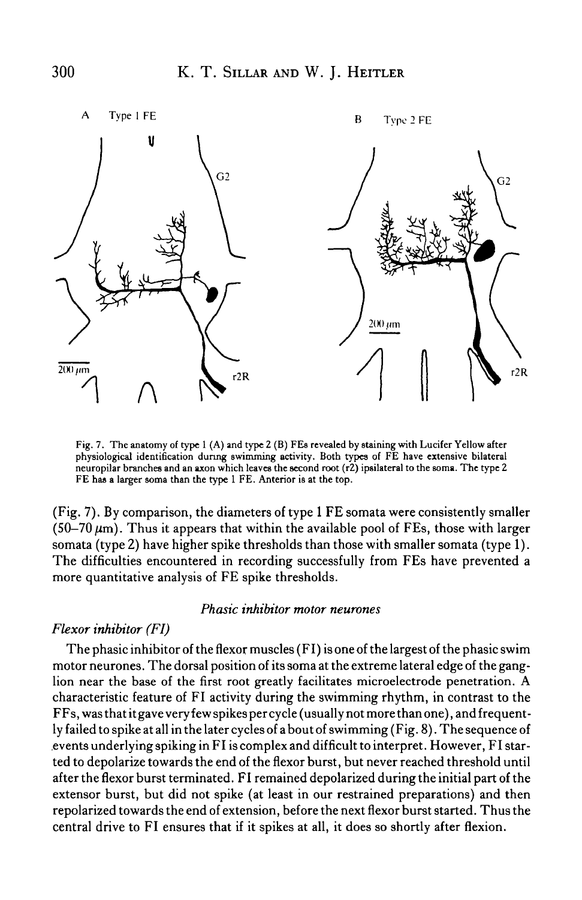

Fig. 7. The anatomy of type 1 (A) and type 2 (B) FEs revealed by staining with Lucifer Yellow after physiological identification during swimming activity. Both types of FE have extensive bilateral neuropilar branches and an axon which leaves the second root (r2) ipsilateral to the soma. The type 2 FE has a larger soma than the type 1 FE. Anterior is at the top.

(Fig. 7). By comparison, the diameters of type 1 FE somata were consistently smaller  $(50-70 \,\mu m)$ . Thus it appears that within the available pool of FEs, those with larger somata (type 2) have higher spike thresholds than those with smaller somata (type 1). The difficulties encountered in recording successfully from FEs have prevented a more quantitative analysis of FE spike thresholds.

### *Phasic inhibitor motor neurones*

### *Flexor inhibitor (FI)*

The phasic inhibitor of the flexor muscles (FI) is one of the largest of the phasic swim motor neurones. The dorsal position of its soma at the extreme lateral edge of the ganglion near the base of the first root greatly facilitates microelectrode penetration. A characteristic feature of FI activity during the swimming rhythm, in contrast to the FFs, was that it gave very few spikes per cycle (usually not more than one), and frequently failed to spike at all in the later cycles of a bout of swimming (Fig. 8). The sequence of events underlying spiking in FI is complex and difficult to interpret. However, FI started to depolarize towards the end of the flexor burst, but never reached threshold until after the flexor burst terminated. FI remained depolarized during the initial part of the extensor burst, but did not spike (at least in our restrained preparations) and then repolarized towards the end of extension, before the next flexor burst started. Thus the central drive to FI ensures that if it spikes at all, it does so shortly after flexion.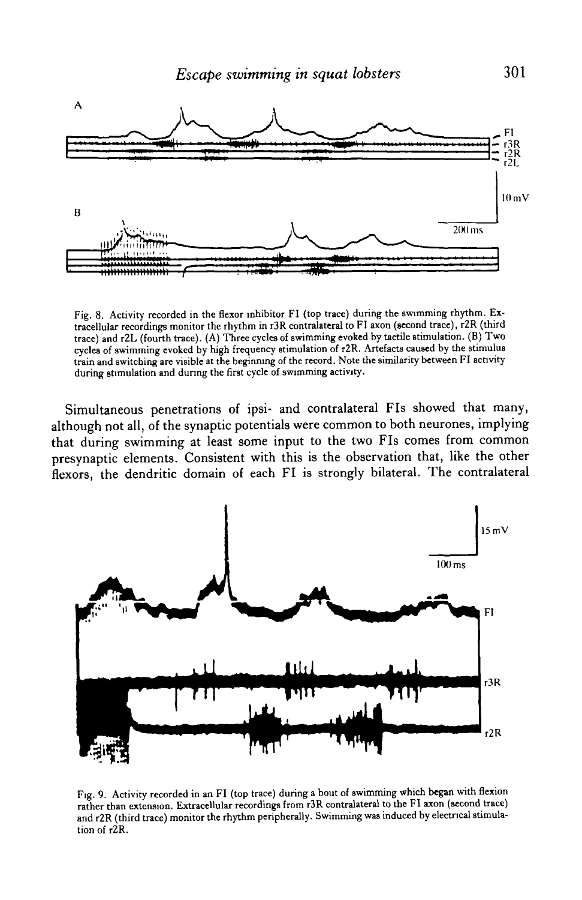

Fig. 8. Activity recorded in the flexor inhibitor FI (top trace) during the swimming rhythm. Extracellular recordings monitor the rhythm in r3R contralateral to FI axon (second trace), r2R (third trace) and r2L (fourth trace). (A) Three cycles of swimming evoked by tactile stimulation. (B) Two cycles of swimming evoked by high frequency stimulation of r2R. Artefacts caused by the stimulus train and switching are visible at the beginning of the record. Note the similarity between FI activity during stimulation and during the first cycle of swimming activity.

Simultaneous penetrations of ipsi- and contralateral FIs showed that many, although not all, of the synaptic potentials were common to both neurones, implying that during swimming at least some input to the two FIs comes from common presynaptic elements. Consistent with this is the observation that, like the other flexors, the dendritic domain of each FI is strongly bilateral. The contralateral



Fig. 9. Activity recorded in an FI (top trace) during a bout of swimming which began with flexion rather than extension. Extracellular recordings from r3R contralateral to the FI axon (second trace) and r2R (third trace) monitor the rhythm peripherally. Swimming was induced by electrical stimulation of r2R.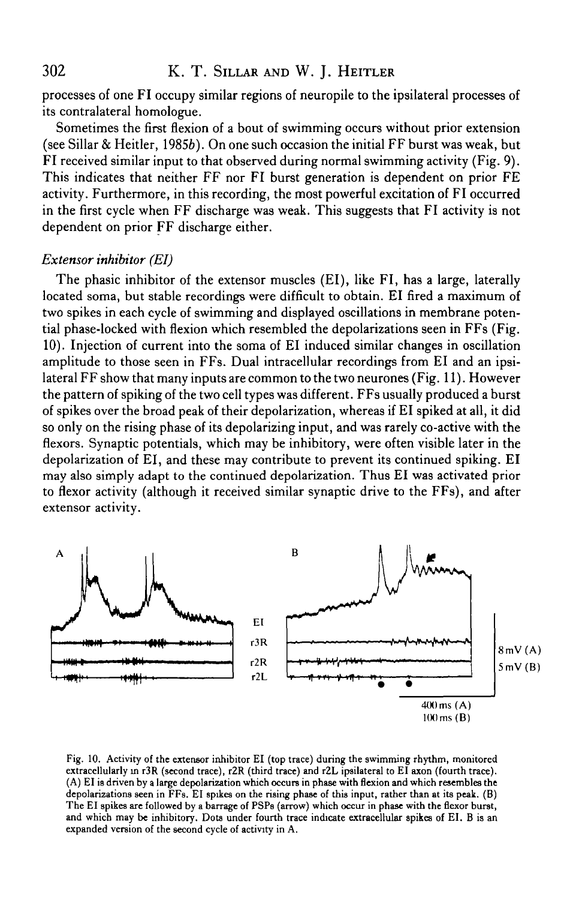processes of one FI occupy similar regions of neuropile to the ipsilateral processes of its contralateral homologue.

Sometimes the first flexion of a bout of swimming occurs without prior extension (see Sillar & Heitler, 19856). On one such occasion the initial FF burst was weak, but  $\overrightarrow{F}$ I received similar input to that observed during normal swimming activity (Fig. 9). This indicates that neither FF nor FI burst generation is dependent on prior FE activity. Furthermore, in this recording, the most powerful excitation of FI occurred in the first cycle when FF discharge was weak. This suggests that FI activity is not dependent on prior FF discharge either.

### *Extensor inhibitor (EI)*

The phasic inhibitor of the extensor muscles (El), like FI, has a large, laterally located soma, but stable recordings were difficult to obtain. El fired a maximum of two spikes in each cycle of swimming and displayed oscillations in membrane potential phase-locked with flexion which resembled the depolarizations seen in FFs (Fig. 10). Injection of current into the soma of El induced similar changes in oscillation amplitude to those seen in FFs. Dual intracellular recordings from El and an ipsilateral FF show that many inputs are common to the two neurones (Fig. 11). However the pattern of spiking of the two cell types was different. FFs usually produced a burst of spikes over the broad peak of their depolarization, whereas if El spiked at all, it did so only on the rising phase of its depolarizing input, and was rarely co-active with the flexors. Synaptic potentials, which may be inhibitory, were often visible later in the depolarization of El, and these may contribute to prevent its continued spiking. El may also simply adapt to the continued depolarization. Thus El was activated prior to flexor activity (although it received similar synaptic drive to the FFs), and after extensor activity.



Fig. 10. Activity of the extensor inhibitor EI (top trace) during the swimming rhythm, monitored extracellularly in r3R (second trace), r2R (third trace) and r2L ipsilateral to EI axon (fourth trace). (A) EI is driven by a large depolarization which occurs in phase with flexion and which resembles the depolarizations seen in FFs. EI spikes on the rising phase of this input, rather than at its peak. (B) The EI spikes are followed by a barrage of PSPs (arrow) which occur in phase with the flexor burst, and which may be inhibitory. Dots under fourth trace indicate extracellular spikes of EI. B is an expanded version of the second cycle of activity in A.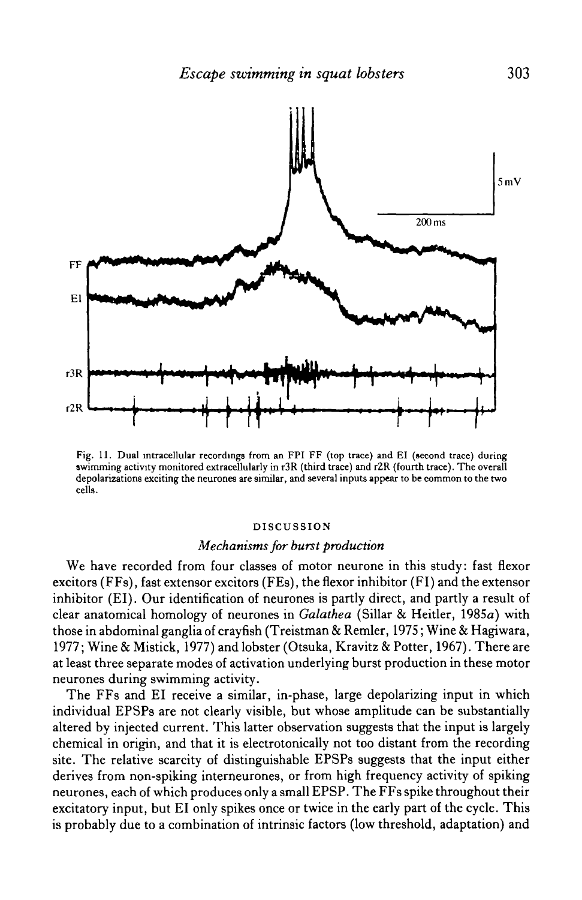

Fig. 11. Dual mtracellular recordings from an FPI FF (top trace) and El (second trace) during swimming activity monitored extracellularly in r3R (third trace) and r2R (fourth trace). The overall depolarizations exciting the neurones are similar, and several inputs appear to be common to the two cells.

#### DISCUSSION

#### *Mechanisms for burst production*

We have recorded from four classes of motor neurone in this study: fast flexor excitors (FFs), fast extensor excitors (FEs), the flexor inhibitor (FI) and the extensor inhibitor (El). Our identification of neurones is partly direct, and partly a result of clear anatomical homology of neurones in *Galathea* (Sillar & Heitler, 1985a) with those in abdominal ganglia of crayfish (Treistman & Remler, 1975; Wine & Hagiwara, 1977; Wine & Mistick, 1977) and lobster (Otsuka, Kravitz & Potter, 1967). There are at least three separate modes of activation underlying burst production in these motor neurones during swimming activity.

The FFs and El receive a similar, in-phase, large depolarizing input in which individual EPSPs are not clearly visible, but whose amplitude can be substantially altered by injected current. This latter observation suggests that the input is largely chemical in origin, and that it is electrotonically not too distant from the recording site. The relative scarcity of distinguishable EPSPs suggests that the input either derives from non-spiking interneurones, or from high frequency activity of spiking neurones, each of which produces only a small EPSP. The FFs spike throughout their excitatory input, but El only spikes once or twice in the early part of the cycle. This is probably due to a combination of intrinsic factors (low threshold, adaptation) and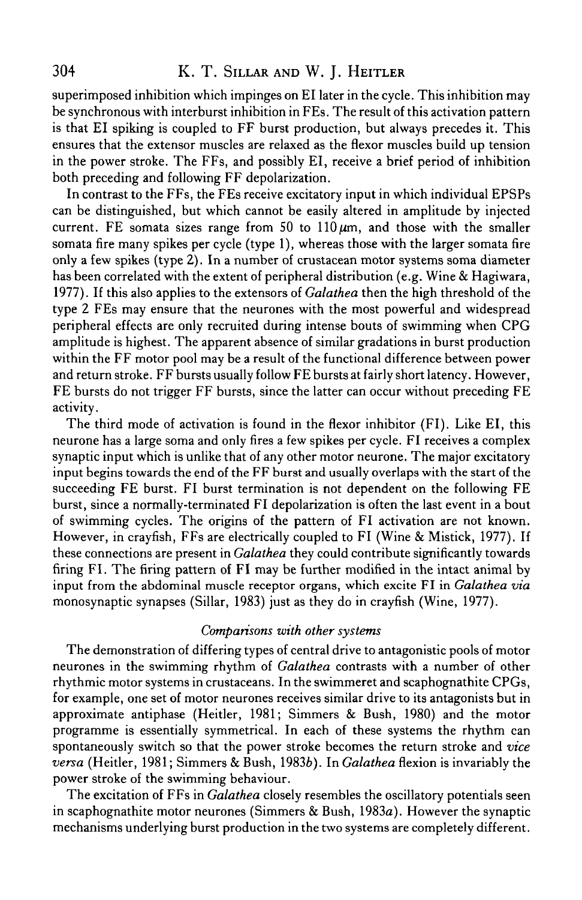superimposed inhibition which impinges on El later in the cycle. This inhibition may be synchronous with interburst inhibition in FEs. The result of this activation pattern is that El spiking is coupled to FF burst production, but always precedes it. This ensures that the extensor muscles are relaxed as the flexor muscles build up tension in the power stroke. The FFs, and possibly El, receive a brief period of inhibition both preceding and following FF depolarization.

In contrast to the FFs, the FEs receive excitatory input in which individual EPSPs can be distinguished, but which cannot be easily altered in amplitude by injected current. FE somata sizes range from 50 to  $110 \mu m$ , and those with the smaller somata fire many spikes per cycle (type 1), whereas those with the larger somata fire only a few spikes (type 2). In a number of crustacean motor systems soma diameter has been correlated with the extent of peripheral distribution (e.g. Wine & Hagiwara, 1977). If this also applies to the extensors of *Galathea* then the high threshold of the type 2 FEs may ensure that the neurones with the most powerful and widespread peripheral effects are only recruited during intense bouts of swimming when CPG amplitude is highest. The apparent absence of similar gradations in burst production within the FF motor pool may be a result of the functional difference between power and return stroke. FF bursts usually follow FE bursts at fairly short latency. However, FE bursts do not trigger FF bursts, since the latter can occur without preceding FE activity.

The third mode of activation is found in the flexor inhibitor (FI). Like El, this neurone has a large soma and only fires a few spikes per cycle. FI receives a complex synaptic input which is unlike that of any other motor neurone. The major excitatory input begins towards the end of the FF burst and usually overlaps with the start of the succeeding FE burst. FI burst termination is not dependent on the following FE burst, since a normally-terminated FI depolarization is often the last event in a bout of swimming cycles. The origins of the pattern of FI activation are not known. However, in crayfish, FFs are electrically coupled to FI (Wine & Mistick, 1977). If these connections are present in *Galathea* they could contribute significantly towards firing FI. The firing pattern of FI may be further modified in the intact animal by input from the abdominal muscle receptor organs, which excite FI in *Galathea via* monosynaptic synapses (Sillar, 1983) just as they do in crayfish (Wine, 1977).

### *Comparisons with other systems*

The demonstration of differing types of central drive to antagonistic pools of motor neurones in the swimming rhythm of *Galathea* contrasts with a number of other rhythmic motor systems in crustaceans. In the swimmeret and scaphognathite CPGs, for example, one set of motor neurones receives similar drive to its antagonists but in approximate antiphase (Heitler, 1981; Simmers & Bush, 1980) and the motor programme is essentially symmetrical. In each of these systems the rhythm can spontaneously switch so that the power stroke becomes the return stroke and *vice versa* (Heitler, 1981; Simmers & Bush, 19836). In *Galathea* flexion is invariably the power stroke of the swimming behaviour.

The excitation of FFs in *Galathea* closely resembles the oscillatory potentials seen in scaphognathite motor neurones (Simmers & Bush, 1983a). However the synaptic mechanisms underlying burst production in the two systems are completely different.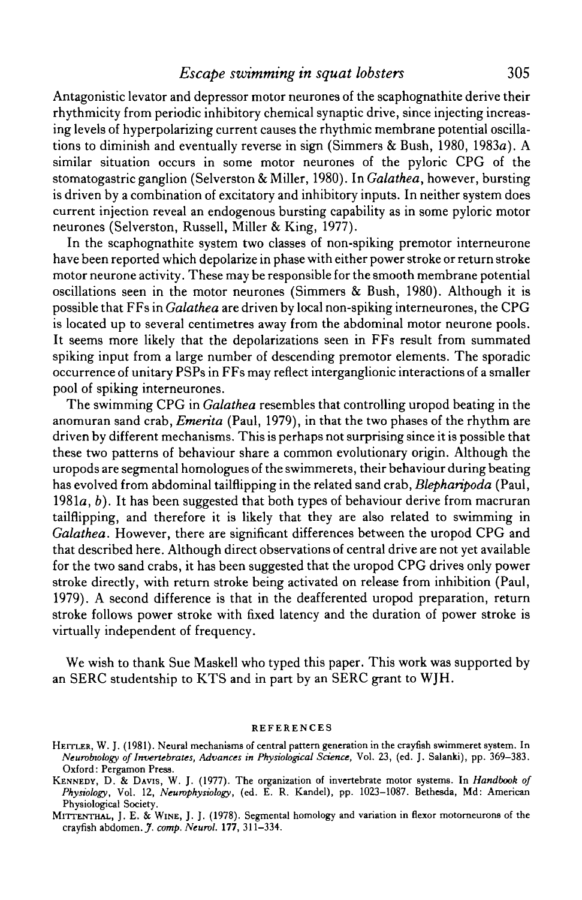## *Escape swimming in squat lobsters* 305

Antagonistic levator and depressor motor neurones of the scaphognathite derive their rhythmicity from periodic inhibitory chemical synaptic drive, since injecting increasing levels of hyperpolarizing current causes the rhythmic membrane potential oscillations to diminish and eventually reverse in sign (Simmers & Bush, 1980, 1983a). A similar situation occurs in some motor neurones of the pyloric CPG of the stomatogastric ganglion (Selverston & Miller, 1980). In *Galathea,* however, bursting is driven by a combination of excitatory and inhibitory inputs. In neither system does current injection reveal an endogenous bursting capability as in some pyloric motor neurones (Selverston, Russell, Miller & King, 1977).

In the scaphognathite system two classes of non-spiking premotor interneurone have been reported which depolarize in phase with either power stroke or return stroke motor neurone activity. These may be responsible for the smooth membrane potential oscillations seen in the motor neurones (Simmers & Bush, 1980). Although it is possible that FFs in *Galathea* are driven by local non-spiking interneurones, the CPG is located up to several centimetres away from the abdominal motor neurone pools. It seems more likely that the depolarizations seen in FFs result from summated spiking input from a large number of descending premotor elements. The sporadic occurrence of unitary PSPs in FFs may reflect interganglionic interactions of a smaller pool of spiking interneurones.

The swimming CPG in *Galathea* resembles that controlling uropod beating in the anomuran sand crab, *Emerita* (Paul, 1979), in that the two phases of the rhythm are driven by different mechanisms. This is perhaps not surprising since it is possible that these two patterns of behaviour share a common evolutionary origin. Although the uropods are segmental homologues of the swimmerets, their behaviour during beating has evolved from abdominal tailflipping in the related sand crab, *Blepharipoda* (Paul, 1981a, *b).* It has been suggested that both types of behaviour derive from macruran tailflipping, and therefore it is likely that they are also related to swimming in *Galathea.* However, there are significant differences between the uropod CPG and that described here. Although direct observations of central drive are not yet available for the two sand crabs, it has been suggested that the uropod CPG drives only power stroke directly, with return stroke being activated on release from inhibition (Paul, 1979). A second difference is that in the deafferented uropod preparation, return stroke follows power stroke with fixed latency and the duration of power stroke is virtually independent of frequency.

We wish to thank Sue Maskell who typed this paper. This work was supported by an SERC studentship to KTS and in part by an SERC grant to WJH.

#### REFERENCES

HEITLER, W. J. (1981). Neural mechanisms of central pattern generation in the crayfish swimmeret system. In *Newvbwlogy of Invertebrates, Advances in Physiological Science,* Vol. 23, (ed. J. Salanki), pp. 369-383. Oxford: Pergamon Press.

KENNEDY, D. & DAVIS, W. J. (1977). The organization of invertebrate motor systems. In *Handbook of Physiology,* Vol. 12, *Neumphysiology,* (ed. E. R. Kandel), pp. 1023-1087. Bethesda, Md: American Physiological Society.

MITTENTHAL, J. E. & WINE, J. J. (1978). Segmental homology and variation in flexor motorneurons of the crayfish abdomen. *J. comp. Neurol.* 177, 311-334.